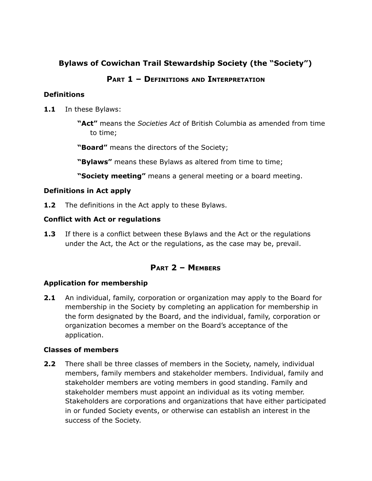# **Bylaws of Cowichan Trail Stewardship Society (the "Society")**

# **PART 1 – D EFINITIONS AND INTERPRETATION**

## **Definitions**

**1.1** In these Bylaws:

**"Act"** means the *Societies Act* of British Columbia as amended from time to time;

**"Board"** means the directors of the Society;

**"Bylaws"** means these Bylaws as altered from time to time;

**"Society meeting"** means a general meeting or a board meeting.

# **Definitions in Act apply**

**1.2** The definitions in the Act apply to these Bylaws.

# **Conflict with Act or regulations**

**1.3** If there is a conflict between these Bylaws and the Act or the regulations under the Act, the Act or the regulations, as the case may be, prevail.

# **PART 2 – M EMBERS**

# **Application for membership**

**2.1** An individual, family, corporation or organization may apply to the Board for membership in the Society by completing an application for membership in the form designated by the Board, and the individual, family, corporation or organization becomes a member on the Board's acceptance of the application.

## **Classes of members**

**2.2** There shall be three classes of members in the Society, namely, individual members, family members and stakeholder members. Individual, family and stakeholder members are voting members in good standing. Family and stakeholder members must appoint an individual as its voting member. Stakeholders are corporations and organizations that have either participated in or funded Society events, or otherwise can establish an interest in the success of the Society.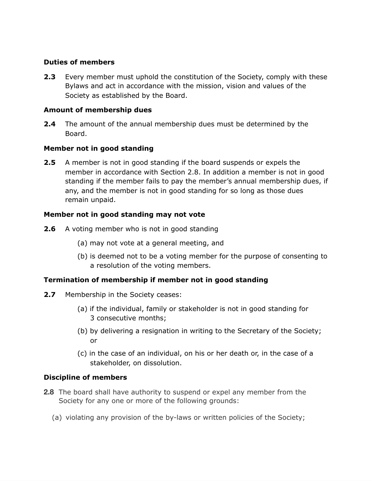### **Duties of members**

**2.3** Every member must uphold the constitution of the Society, comply with these Bylaws and act in accordance with the mission, vision and values of the Society as established by the Board.

### **Amount of membership dues**

**2.4** The amount of the annual membership dues must be determined by the Board.

### **Member not in good standing**

**2.5** A member is not in good standing if the board suspends or expels the member in accordance with Section 2.8. In addition a member is not in good standing if the member fails to pay the member's annual membership dues, if any, and the member is not in good standing for so long as those dues remain unpaid.

### **Member not in good standing may not vote**

- **2.6** A voting member who is not in good standing
	- (a) may not vote at a general meeting, and
	- (b) is deemed not to be a voting member for the purpose of consenting to a resolution of the voting members.

## **Termination of membership if member not in good standing**

- **2.7** Membership in the Society ceases:
	- (a) if the individual, family or stakeholder is not in good standing for 3 consecutive months;
	- (b) by delivering a resignation in writing to the Secretary of the Society; or
	- (c) in the case of an individual, on his or her death or, in the case of a stakeholder, on dissolution.

## **Discipline of members**

- **2.8** The board shall have authority to suspend or expel any member from the Society for any one or more of the following grounds:
	- (a) violating any provision of the by-laws or written policies of the Society;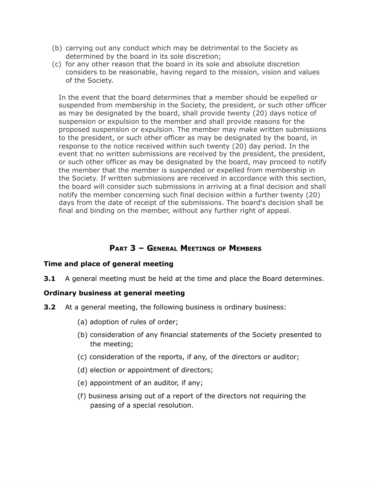- (b) carrying out any conduct which may be detrimental to the Society as determined by the board in its sole discretion;
- (c) for any other reason that the board in its sole and absolute discretion considers to be reasonable, having regard to the mission, vision and values of the Society.

In the event that the board determines that a member should be expelled or suspended from membership in the Society, the president, or such other officer as may be designated by the board, shall provide twenty (20) days notice of suspension or expulsion to the member and shall provide reasons for the proposed suspension or expulsion. The member may make written submissions to the president, or such other officer as may be designated by the board, in response to the notice received within such twenty (20) day period. In the event that no written submissions are received by the president, the president, or such other officer as may be designated by the board, may proceed to notify the member that the member is suspended or expelled from membership in the Society. If written submissions are received in accordance with this section, the board will consider such submissions in arriving at a final decision and shall notify the member concerning such final decision within a further twenty (20) days from the date of receipt of the submissions. The board's decision shall be final and binding on the member, without any further right of appeal.

# **PART 3 – GENERAL M EETINGS OF M EMBERS**

### **Time and place of general meeting**

**3.1** A general meeting must be held at the time and place the Board determines.

### **Ordinary business at general meeting**

- **3.2** At a general meeting, the following business is ordinary business:
	- (a) adoption of rules of order;
	- (b) consideration of any financial statements of the Society presented to the meeting;
	- (c) consideration of the reports, if any, of the directors or auditor;
	- (d) election or appointment of directors;
	- (e) appointment of an auditor, if any;
	- (f) business arising out of a report of the directors not requiring the passing of a special resolution.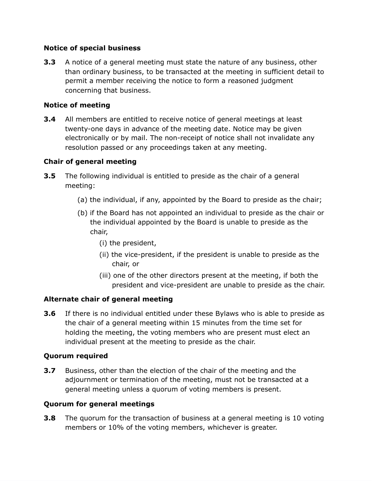### **Notice of special business**

**3.3** A notice of a general meeting must state the nature of any business, other than ordinary business, to be transacted at the meeting in sufficient detail to permit a member receiving the notice to form a reasoned judgment concerning that business.

## **Notice of meeting**

**3.4** All members are entitled to receive notice of general meetings at least twenty-one days in advance of the meeting date. Notice may be given electronically or by mail. The non-receipt of notice shall not invalidate any resolution passed or any proceedings taken at any meeting.

# **Chair of general meeting**

- **3.5** The following individual is entitled to preside as the chair of a general meeting:
	- (a) the individual, if any, appointed by the Board to preside as the chair;
	- (b) if the Board has not appointed an individual to preside as the chair or the individual appointed by the Board is unable to preside as the chair,
		- (i) the president,
		- (ii) the vice-president, if the president is unable to preside as the chair, or
		- (iii) one of the other directors present at the meeting, if both the president and vice-president are unable to preside as the chair.

## **Alternate chair of general meeting**

**3.6** If there is no individual entitled under these Bylaws who is able to preside as the chair of a general meeting within 15 minutes from the time set for holding the meeting, the voting members who are present must elect an individual present at the meeting to preside as the chair.

## **Quorum required**

**3.7** Business, other than the election of the chair of the meeting and the adjournment or termination of the meeting, must not be transacted at a general meeting unless a quorum of voting members is present.

## **Quorum for general meetings**

**3.8** The quorum for the transaction of business at a general meeting is 10 voting members or 10% of the voting members, whichever is greater.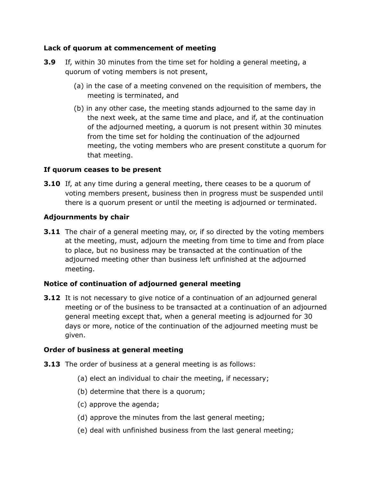### **Lack of quorum at commencement of meeting**

- **3.9** If, within 30 minutes from the time set for holding a general meeting, a quorum of voting members is not present,
	- (a) in the case of a meeting convened on the requisition of members, the meeting is terminated, and
	- (b) in any other case, the meeting stands adjourned to the same day in the next week, at the same time and place, and if, at the continuation of the adjourned meeting, a quorum is not present within 30 minutes from the time set for holding the continuation of the adjourned meeting, the voting members who are present constitute a quorum for that meeting.

### **If quorum ceases to be present**

**3.10** If, at any time during a general meeting, there ceases to be a quorum of voting members present, business then in progress must be suspended until there is a quorum present or until the meeting is adjourned or terminated.

### **Adjournments by chair**

**3.11** The chair of a general meeting may, or, if so directed by the voting members at the meeting, must, adjourn the meeting from time to time and from place to place, but no business may be transacted at the continuation of the adjourned meeting other than business left unfinished at the adjourned meeting.

### **Notice of continuation of adjourned general meeting**

**3.12** It is not necessary to give notice of a continuation of an adjourned general meeting or of the business to be transacted at a continuation of an adjourned general meeting except that, when a general meeting is adjourned for 30 days or more, notice of the continuation of the adjourned meeting must be given.

### **Order of business at general meeting**

- **3.13** The order of business at a general meeting is as follows:
	- (a) elect an individual to chair the meeting, if necessary;
	- (b) determine that there is a quorum;
	- (c) approve the agenda;
	- (d) approve the minutes from the last general meeting;
	- (e) deal with unfinished business from the last general meeting;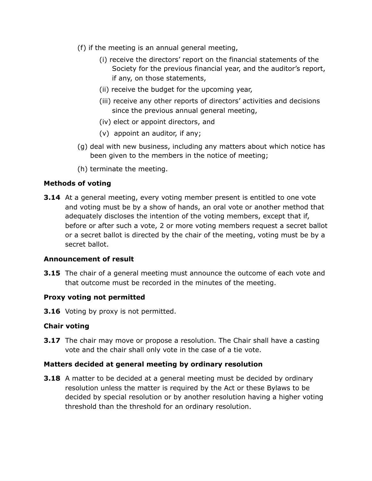- (f) if the meeting is an annual general meeting,
	- (i) receive the directors' report on the financial statements of the Society for the previous financial year, and the auditor's report, if any, on those statements,
	- (ii) receive the budget for the upcoming year,
	- (iii) receive any other reports of directors' activities and decisions since the previous annual general meeting,
	- (iv) elect or appoint directors, and
	- (v) appoint an auditor, if any;
- (g) deal with new business, including any matters about which notice has been given to the members in the notice of meeting;
- (h) terminate the meeting.

#### **Methods of voting**

**3.14** At a general meeting, every voting member present is entitled to one vote and voting must be by a show of hands, an oral vote or another method that adequately discloses the intention of the voting members, except that if, before or after such a vote, 2 or more voting members request a secret ballot or a secret ballot is directed by the chair of the meeting, voting must be by a secret ballot.

#### **Announcement of result**

**3.15** The chair of a general meeting must announce the outcome of each vote and that outcome must be recorded in the minutes of the meeting.

#### **Proxy voting not permitted**

**3.16** Voting by proxy is not permitted.

### **Chair voting**

**3.17** The chair may move or propose a resolution. The Chair shall have a casting vote and the chair shall only vote in the case of a tie vote.

#### **Matters decided at general meeting by ordinary resolution**

**3.18** A matter to be decided at a general meeting must be decided by ordinary resolution unless the matter is required by the Act or these Bylaws to be decided by special resolution or by another resolution having a higher voting threshold than the threshold for an ordinary resolution.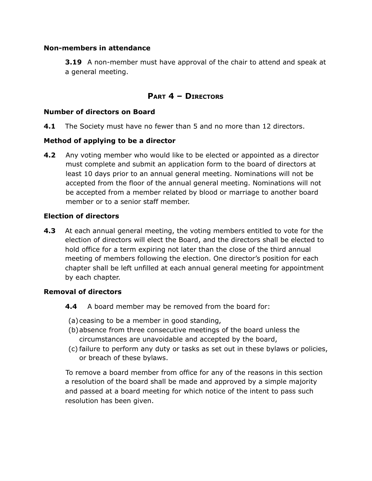#### **Non-members in attendance**

**3.19** A non-member must have approval of the chair to attend and speak at a general meeting.

# **PART 4 – D IRECTORS**

#### **Number of directors on Board**

**4.1** The Society must have no fewer than 5 and no more than 12 directors.

#### **Method of applying to be a director**

**4.2** Any voting member who would like to be elected or appointed as a director must complete and submit an application form to the board of directors at least 10 days prior to an annual general meeting. Nominations will not be accepted from the floor of the annual general meeting. Nominations will not be accepted from a member related by blood or marriage to another board member or to a senior staff member.

#### **Election of directors**

**4.3** At each annual general meeting, the voting members entitled to vote for the election of directors will elect the Board, and the directors shall be elected to hold office for a term expiring not later than the close of the third annual meeting of members following the election. One director's position for each chapter shall be left unfilled at each annual general meeting for appointment by each chapter.

#### **Removal of directors**

- **4.4** A board member may be removed from the board for:
- (a)ceasing to be a member in good standing,
- (b)absence from three consecutive meetings of the board unless the circumstances are unavoidable and accepted by the board,
- (c) failure to perform any duty or tasks as set out in these bylaws or policies, or breach of these bylaws.

To remove a board member from office for any of the reasons in this section a resolution of the board shall be made and approved by a simple majority and passed at a board meeting for which notice of the intent to pass such resolution has been given.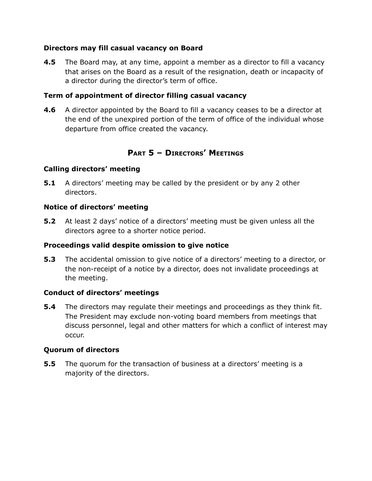### **Directors may fill casual vacancy on Board**

**4.5** The Board may, at any time, appoint a member as a director to fill a vacancy that arises on the Board as a result of the resignation, death or incapacity of a director during the director's term of office.

### **Term of appointment of director filling casual vacancy**

**4.6** A director appointed by the Board to fill a vacancy ceases to be a director at the end of the unexpired portion of the term of office of the individual whose departure from office created the vacancy.

# **PART 5 – D IRECTORS' M EETINGS**

## **Calling directors' meeting**

**5.1** A directors' meeting may be called by the president or by any 2 other directors.

### **Notice of directors' meeting**

**5.2** At least 2 days' notice of a directors' meeting must be given unless all the directors agree to a shorter notice period.

## **Proceedings valid despite omission to give notice**

**5.3** The accidental omission to give notice of a directors' meeting to a director, or the non-receipt of a notice by a director, does not invalidate proceedings at the meeting.

## **Conduct of directors' meetings**

**5.4** The directors may regulate their meetings and proceedings as they think fit. The President may exclude non-voting board members from meetings that discuss personnel, legal and other matters for which a conflict of interest may occur.

### **Quorum of directors**

**5.5** The quorum for the transaction of business at a directors' meeting is a majority of the directors.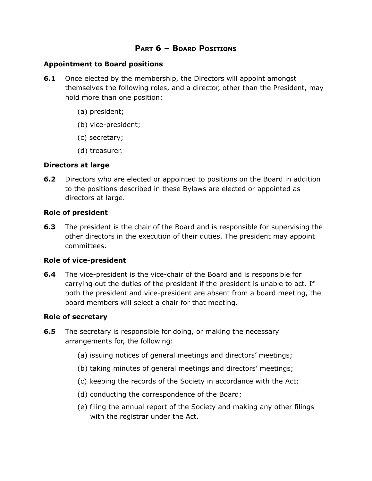### **PART 6 – BOARD POSITIONS**

#### **Appointment to Board positions**

- **6.1** Once elected by the membership, the Directors will appoint amongst themselves the following roles, and a director, other than the President, may hold more than one position:
	- (a) president;
	- (b) vice-president;
	- (c) secretary;
	- (d) treasurer.

#### **Directors at large**

**6.2** Directors who are elected or appointed to positions on the Board in addition to the positions described in these Bylaws are elected or appointed as directors at large.

#### **Role of president**

**6.3** The president is the chair of the Board and is responsible for supervising the other directors in the execution of their duties. The president may appoint committees.

### **Role of vice-president**

**6.4** The vice-president is the vice-chair of the Board and is responsible for carrying out the duties of the president if the president is unable to act. If both the president and vice-president are absent from a board meeting, the board members will select a chair for that meeting.

#### **Role of secretary**

- **6.5** The secretary is responsible for doing, or making the necessary arrangements for, the following:
	- (a) issuing notices of general meetings and directors' meetings;
	- (b) taking minutes of general meetings and directors' meetings;
	- (c) keeping the records of the Society in accordance with the Act;
	- (d) conducting the correspondence of the Board;
	- (e) filing the annual report of the Society and making any other filings with the registrar under the Act.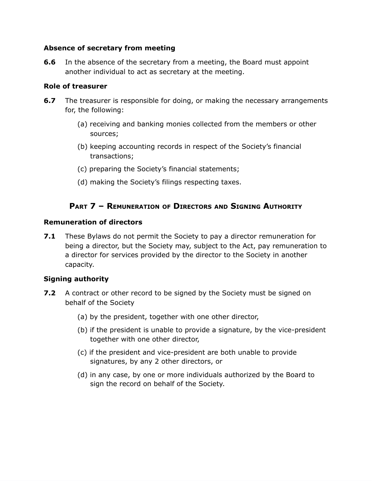### **Absence of secretary from meeting**

**6.6** In the absence of the secretary from a meeting, the Board must appoint another individual to act as secretary at the meeting.

### **Role of treasurer**

- **6.7** The treasurer is responsible for doing, or making the necessary arrangements for, the following:
	- (a) receiving and banking monies collected from the members or other sources;
	- (b) keeping accounting records in respect of the Society's financial transactions;
	- (c) preparing the Society's financial statements;
	- (d) making the Society's filings respecting taxes.

# **PART 7 – REMUNERATION OF D IRECTORS AND SIGNING AUTHORITY**

### **Remuneration of directors**

**7.1** These Bylaws do not permit the Society to pay a director remuneration for being a director, but the Society may, subject to the Act, pay remuneration to a director for services provided by the director to the Society in another capacity.

## **Signing authority**

- **7.2** A contract or other record to be signed by the Society must be signed on behalf of the Society
	- (a) by the president, together with one other director,
	- (b) if the president is unable to provide a signature, by the vice-president together with one other director,
	- (c) if the president and vice-president are both unable to provide signatures, by any 2 other directors, or
	- (d) in any case, by one or more individuals authorized by the Board to sign the record on behalf of the Society.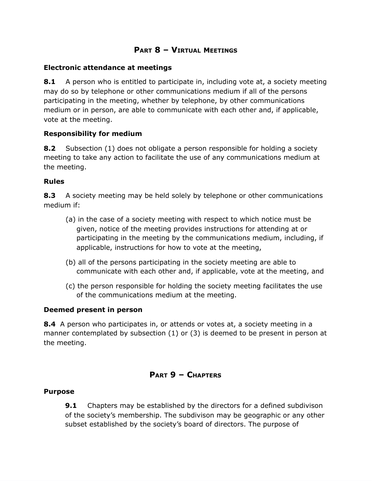# **PART 8 – VIRTUAL MEETINGS**

#### **Electronic attendance at meetings**

**8.1** A person who is entitled to participate in, including vote at, a society meeting may do so by telephone or other communications medium if all of the persons participating in the meeting, whether by telephone, by other communications medium or in person, are able to communicate with each other and, if applicable, vote at the meeting.

### **Responsibility for medium**

**8.2** Subsection (1) does not obligate a person responsible for holding a society meeting to take any action to facilitate the use of any communications medium at the meeting.

#### **Rules**

**8.3** A society meeting may be held solely by telephone or other communications medium if:

- (a) in the case of a society meeting with respect to which notice must be given, notice of the meeting provides instructions for attending at or participating in the meeting by the communications medium, including, if applicable, instructions for how to vote at the meeting,
- (b) all of the persons participating in the society meeting are able to communicate with each other and, if applicable, vote at the meeting, and
- (c) the person responsible for holding the society meeting facilitates the use of the communications medium at the meeting.

#### **Deemed present in person**

**8.4** A person who participates in, or attends or votes at, a society meeting in a manner contemplated by subsection (1) or (3) is deemed to be present in person at the meeting.

## **PART 9 – CHAPTERS**

#### **Purpose**

**9.1** Chapters may be established by the directors for a defined subdivison of the society's membership. The subdivison may be geographic or any other subset established by the society's board of directors. The purpose of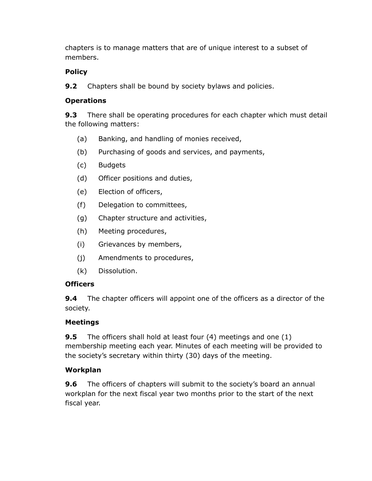chapters is to manage matters that are of unique interest to a subset of members.

# **Policy**

**9.2** Chapters shall be bound by society bylaws and policies.

# **Operations**

**9.3** There shall be operating procedures for each chapter which must detail the following matters:

- (a) Banking, and handling of monies received,
- (b) Purchasing of goods and services, and payments,
- (c) Budgets
- (d) Officer positions and duties,
- (e) Election of officers,
- (f) Delegation to committees,
- (g) Chapter structure and activities,
- (h) Meeting procedures,
- (i) Grievances by members,
- (j) Amendments to procedures,
- (k) Dissolution.

# **Officers**

**9.4** The chapter officers will appoint one of the officers as a director of the society.

# **Meetings**

**9.5** The officers shall hold at least four (4) meetings and one (1) membership meeting each year. Minutes of each meeting will be provided to the society's secretary within thirty (30) days of the meeting.

# **Workplan**

**9.6** The officers of chapters will submit to the society's board an annual workplan for the next fiscal year two months prior to the start of the next fiscal year.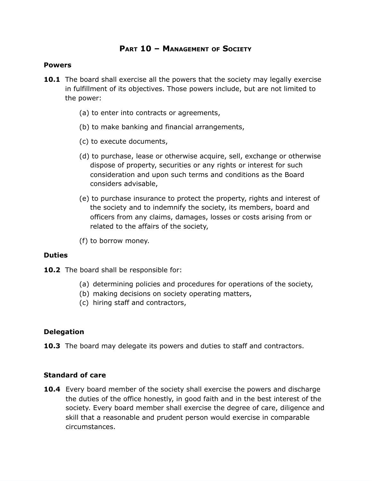## **PART 10 – M ANAGEMENT OF SOCIETY**

#### **Powers**

- **10.1** The board shall exercise all the powers that the society may legally exercise in fulfillment of its objectives. Those powers include, but are not limited to the power:
	- (a) to enter into contracts or agreements,
	- (b) to make banking and financial arrangements,
	- (c) to execute documents,
	- (d) to purchase, lease or otherwise acquire, sell, exchange or otherwise dispose of property, securities or any rights or interest for such consideration and upon such terms and conditions as the Board considers advisable,
	- (e) to purchase insurance to protect the property, rights and interest of the society and to indemnify the society, its members, board and officers from any claims, damages, losses or costs arising from or related to the affairs of the society,
	- (f) to borrow money.

#### **Duties**

10.2 The board shall be responsible for:

- (a) determining policies and procedures for operations of the society,
- (b) making decisions on society operating matters,
- (c) hiring staff and contractors,

#### **Delegation**

**10.3** The board may delegate its powers and duties to staff and contractors.

### **Standard of care**

**10.4** Every board member of the society shall exercise the powers and discharge the duties of the office honestly, in good faith and in the best interest of the society. Every board member shall exercise the degree of care, diligence and skill that a reasonable and prudent person would exercise in comparable circumstances.